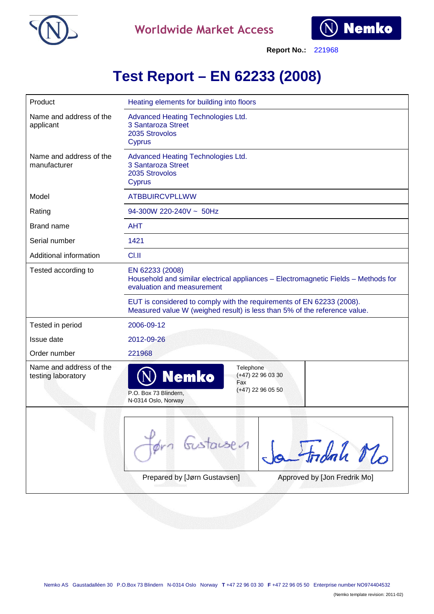

**Worldwide Market Access**



**Report No.:** 221968

# **Test Report – EN 62233 (2008)**

| Product                                       | Heating elements for building into floors                                                                                                          |
|-----------------------------------------------|----------------------------------------------------------------------------------------------------------------------------------------------------|
| Name and address of the<br>applicant          | Advanced Heating Technologies Ltd.<br>3 Santaroza Street<br>2035 Strovolos<br><b>Cyprus</b>                                                        |
| Name and address of the<br>manufacturer       | Advanced Heating Technologies Ltd.<br>3 Santaroza Street<br>2035 Strovolos<br><b>Cyprus</b>                                                        |
| Model                                         | <b>ATBBUIRCVPLLWW</b>                                                                                                                              |
| Rating                                        | 94-300W 220-240V ~ 50Hz                                                                                                                            |
| <b>Brand name</b>                             | <b>AHT</b>                                                                                                                                         |
| Serial number                                 | 1421                                                                                                                                               |
| Additional information                        | $C$  .                                                                                                                                             |
| Tested according to                           | EN 62233 (2008)<br>Household and similar electrical appliances - Electromagnetic Fields - Methods for<br>evaluation and measurement                |
|                                               | EUT is considered to comply with the requirements of EN 62233 (2008).<br>Measured value W (weighed result) is less than 5% of the reference value. |
| Tested in period                              | 2006-09-12                                                                                                                                         |
| Issue date                                    | 2012-09-26                                                                                                                                         |
| Order number                                  | 221968                                                                                                                                             |
| Name and address of the<br>testing laboratory | Telephone<br><b>Nemko</b><br>$(+47)$ 22 96 03 30<br>Fax<br>$(+47)$ 22 96 05 50<br>P.O. Box 73 Blindern,<br>N-0314 Oslo, Norway                     |
|                                               | Fridah Mo<br>Prepared by [Jørn Gustavsen]<br>Approved by [Jon Fredrik Mo]                                                                          |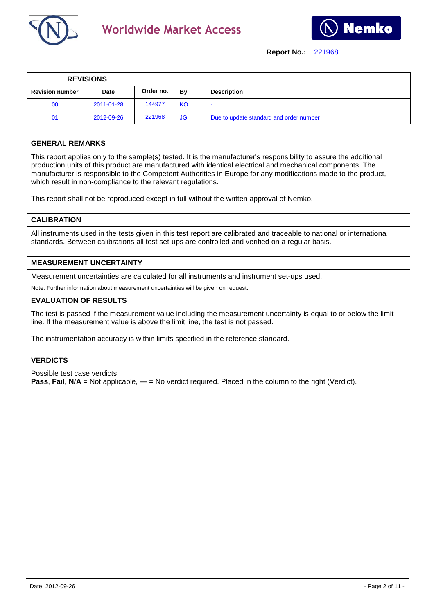



|                        | <b>REVISIONS</b> |           |           |                                         |
|------------------------|------------------|-----------|-----------|-----------------------------------------|
| <b>Revision number</b> | Date             | Order no. | By        | <b>Description</b>                      |
| 00                     | 2011-01-28       | 144977    | <b>KO</b> |                                         |
| 01                     | 2012-09-26       | 221968    | <b>JG</b> | Due to update standard and order number |

### **GENERAL REMARKS**

This report applies only to the sample(s) tested. It is the manufacturer's responsibility to assure the additional production units of this product are manufactured with identical electrical and mechanical components. The manufacturer is responsible to the Competent Authorities in Europe for any modifications made to the product, which result in non-compliance to the relevant regulations.

This report shall not be reproduced except in full without the written approval of Nemko.

# **CALIBRATION**

All instruments used in the tests given in this test report are calibrated and traceable to national or international standards. Between calibrations all test set-ups are controlled and verified on a regular basis.

#### **MEASUREMENT UNCERTAINTY**

Measurement uncertainties are calculated for all instruments and instrument set-ups used.

Note: Further information about measurement uncertainties will be given on request.

## **EVALUATION OF RESULTS**

The test is passed if the measurement value including the measurement uncertainty is equal to or below the limit line. If the measurement value is above the limit line, the test is not passed.

The instrumentation accuracy is within limits specified in the reference standard.

#### **VERDICTS**

Possible test case verdicts:

**Pass, Fail, N/A** = Not applicable, — = No verdict required. Placed in the column to the right (Verdict).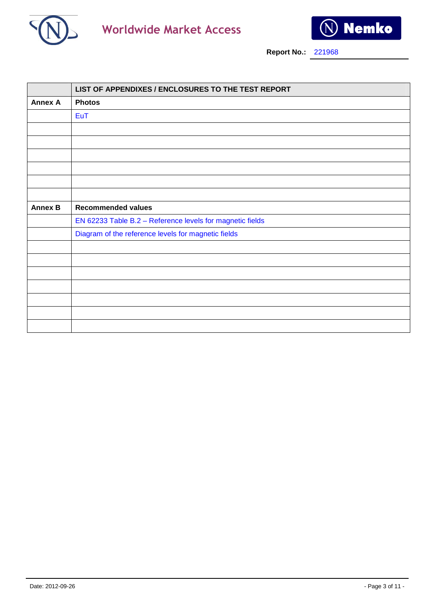



|                | LIST OF APPENDIXES / ENCLOSURES TO THE TEST REPORT        |
|----------------|-----------------------------------------------------------|
| <b>Annex A</b> | <b>Photos</b>                                             |
|                | <b>EuT</b>                                                |
|                |                                                           |
|                |                                                           |
|                |                                                           |
|                |                                                           |
|                |                                                           |
|                |                                                           |
| <b>Annex B</b> | <b>Recommended values</b>                                 |
|                | EN 62233 Table B.2 - Reference levels for magnetic fields |
|                | Diagram of the reference levels for magnetic fields       |
|                |                                                           |
|                |                                                           |
|                |                                                           |
|                |                                                           |
|                |                                                           |
|                |                                                           |
|                |                                                           |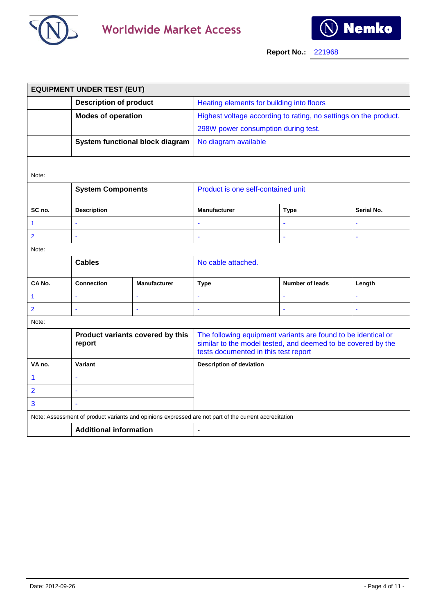



| <b>EQUIPMENT UNDER TEST (EUT)</b> |                                            |                     |                                                                                                                                                                       |                                           |            |
|-----------------------------------|--------------------------------------------|---------------------|-----------------------------------------------------------------------------------------------------------------------------------------------------------------------|-------------------------------------------|------------|
|                                   | <b>Description of product</b>              |                     |                                                                                                                                                                       | Heating elements for building into floors |            |
|                                   | <b>Modes of operation</b>                  |                     | Highest voltage according to rating, no settings on the product.                                                                                                      |                                           |            |
|                                   |                                            |                     | 298W power consumption during test.                                                                                                                                   |                                           |            |
|                                   | System functional block diagram            |                     | No diagram available                                                                                                                                                  |                                           |            |
|                                   |                                            |                     |                                                                                                                                                                       |                                           |            |
| Note:                             |                                            |                     |                                                                                                                                                                       |                                           |            |
|                                   | <b>System Components</b>                   |                     | Product is one self-contained unit                                                                                                                                    |                                           |            |
| SC no.                            | <b>Description</b>                         |                     | <b>Manufacturer</b>                                                                                                                                                   | <b>Type</b>                               | Serial No. |
| $\mathbf{1}$                      |                                            |                     |                                                                                                                                                                       |                                           |            |
| $\overline{2}$                    |                                            |                     |                                                                                                                                                                       | ÷                                         | Ē,         |
| Note:                             |                                            |                     |                                                                                                                                                                       |                                           |            |
|                                   | <b>Cables</b>                              |                     | No cable attached.                                                                                                                                                    |                                           |            |
| CA No.                            | <b>Connection</b>                          | <b>Manufacturer</b> | <b>Type</b>                                                                                                                                                           | <b>Number of leads</b>                    | Length     |
| $\mathbf{1}$                      |                                            |                     |                                                                                                                                                                       |                                           | l,         |
| $\overline{2}$                    |                                            |                     |                                                                                                                                                                       |                                           | Ξ          |
| Note:                             |                                            |                     |                                                                                                                                                                       |                                           |            |
|                                   | Product variants covered by this<br>report |                     | The following equipment variants are found to be identical or<br>similar to the model tested, and deemed to be covered by the<br>tests documented in this test report |                                           |            |
| VA no.                            | Variant                                    |                     | <b>Description of deviation</b>                                                                                                                                       |                                           |            |
| 1                                 | ٠                                          |                     |                                                                                                                                                                       |                                           |            |
| $\overline{2}$                    | $\blacksquare$                             |                     |                                                                                                                                                                       |                                           |            |
| 3                                 |                                            |                     |                                                                                                                                                                       |                                           |            |
|                                   |                                            |                     | Note: Assessment of product variants and opinions expressed are not part of the current accreditation                                                                 |                                           |            |
|                                   | <b>Additional information</b>              |                     | ÷,                                                                                                                                                                    |                                           |            |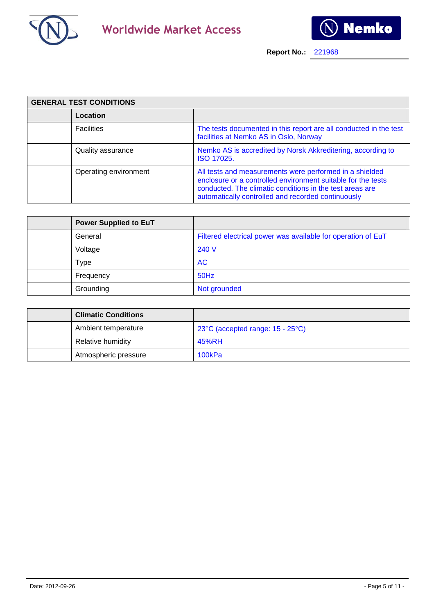



| <b>GENERAL TEST CONDITIONS</b> |                                                                                                                                                                                                                                           |  |
|--------------------------------|-------------------------------------------------------------------------------------------------------------------------------------------------------------------------------------------------------------------------------------------|--|
| Location                       |                                                                                                                                                                                                                                           |  |
| <b>Facilities</b>              | The tests documented in this report are all conducted in the test<br>facilities at Nemko AS in Oslo, Norway                                                                                                                               |  |
| Quality assurance              | Nemko AS is accredited by Norsk Akkreditering, according to<br>ISO 17025.                                                                                                                                                                 |  |
| Operating environment          | All tests and measurements were performed in a shielded<br>enclosure or a controlled environment suitable for the tests<br>conducted. The climatic conditions in the test areas are<br>automatically controlled and recorded continuously |  |

| <b>Power Supplied to EuT</b> |                                                              |
|------------------------------|--------------------------------------------------------------|
| General                      | Filtered electrical power was available for operation of EuT |
| Voltage                      | 240 V                                                        |
| Type                         | <b>AC</b>                                                    |
| Frequency                    | 50Hz                                                         |
| Grounding                    | Not grounded                                                 |

| <b>Climatic Conditions</b> |                                                      |
|----------------------------|------------------------------------------------------|
| Ambient temperature        | 23 $\degree$ C (accepted range: 15 - 25 $\degree$ C) |
| <b>Relative humidity</b>   | 45%RH                                                |
| Atmospheric pressure       | 100kPa                                               |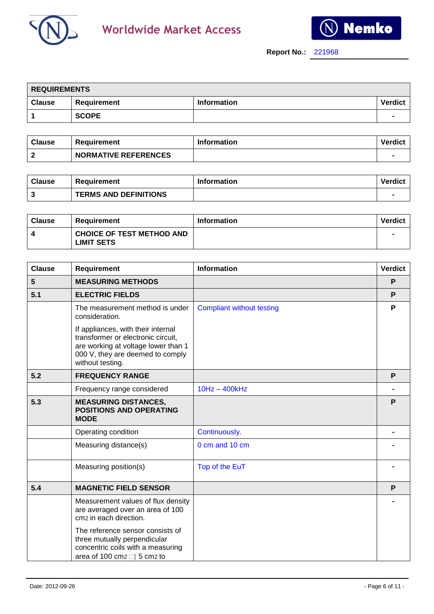



| <b>REQUIREMENTS</b> |              |                    |                |  |
|---------------------|--------------|--------------------|----------------|--|
| <b>Clause</b>       | Requirement  | <b>Information</b> | <b>Verdict</b> |  |
|                     | <b>SCOPE</b> |                    |                |  |

| <b>Clause</b> | Requirement                 | <b>Information</b> | <b>Verdic</b> |
|---------------|-----------------------------|--------------------|---------------|
|               | <b>NORMATIVE REFERENCES</b> |                    |               |

| <b>Clause</b> | Requirement                  | <b>Information</b> | <b>Verdict</b> |
|---------------|------------------------------|--------------------|----------------|
|               | <b>TERMS AND DEFINITIONS</b> |                    |                |

| <b>Clause</b> | Requirement                                           | <b>Information</b> | <b>Verdict</b> |
|---------------|-------------------------------------------------------|--------------------|----------------|
|               | <b>CHOICE OF TEST METHOD AND</b><br><b>LIMIT SETS</b> |                    |                |

| <b>Clause</b> | Requirement                                                                                                                                                             | <b>Information</b>               | <b>Verdict</b> |
|---------------|-------------------------------------------------------------------------------------------------------------------------------------------------------------------------|----------------------------------|----------------|
| 5             | <b>MEASURING METHODS</b>                                                                                                                                                |                                  | P              |
| 5.1           | <b>ELECTRIC FIELDS</b>                                                                                                                                                  |                                  | P              |
|               | The measurement method is under<br>consideration.                                                                                                                       | <b>Compliant without testing</b> | P              |
|               | If appliances, with their internal<br>transformer or electronic circuit.<br>are working at voltage lower than 1<br>000 V, they are deemed to comply<br>without testing. |                                  |                |
| 5.2           | <b>FREQUENCY RANGE</b>                                                                                                                                                  |                                  | P              |
|               | Frequency range considered                                                                                                                                              | $10Hz - 400kHz$                  |                |
| 5.3           | <b>MEASURING DISTANCES,</b><br><b>POSITIONS AND OPERATING</b><br><b>MODE</b>                                                                                            |                                  | P              |
|               | Operating condition                                                                                                                                                     | Continuously.                    |                |
|               | Measuring distance(s)                                                                                                                                                   | 0 cm and 10 cm                   |                |
|               | Measuring position(s)                                                                                                                                                   | Top of the EuT                   |                |
| 5.4           | <b>MAGNETIC FIELD SENSOR</b>                                                                                                                                            |                                  | P              |
|               | Measurement values of flux density<br>are averaged over an area of 100<br>cm <sub>2</sub> in each direction.                                                            |                                  |                |
|               | The reference sensor consists of<br>three mutually perpendicular<br>concentric coils with a measuring<br>area of 100 cm2 $\Box$ } 5 cm2 to                              |                                  |                |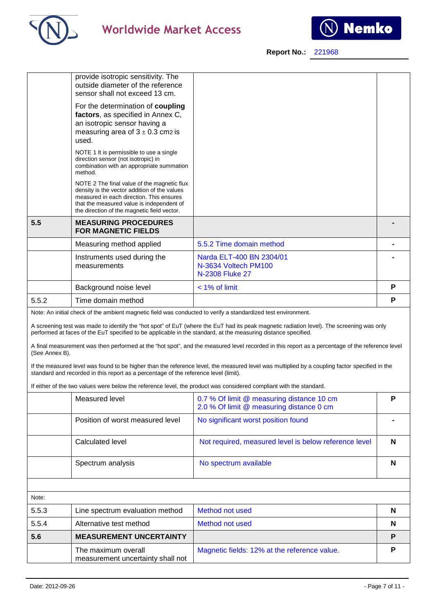



|                | provide isotropic sensitivity. The<br>outside diameter of the reference<br>sensor shall not exceed 13 cm.                                                                                                                           |                                                                                                                                                                                                                                                                                                                                                                                                                                                |   |
|----------------|-------------------------------------------------------------------------------------------------------------------------------------------------------------------------------------------------------------------------------------|------------------------------------------------------------------------------------------------------------------------------------------------------------------------------------------------------------------------------------------------------------------------------------------------------------------------------------------------------------------------------------------------------------------------------------------------|---|
|                | For the determination of coupling<br>factors, as specified in Annex C,<br>an isotropic sensor having a<br>measuring area of $3 \pm 0.3$ cm2 is<br>used.                                                                             |                                                                                                                                                                                                                                                                                                                                                                                                                                                |   |
|                | NOTE 1 It is permissible to use a single<br>direction sensor (not isotropic) in<br>combination with an appropriate summation<br>method.                                                                                             |                                                                                                                                                                                                                                                                                                                                                                                                                                                |   |
|                | NOTE 2 The final value of the magnetic flux<br>density is the vector addition of the values<br>measured in each direction. This ensures<br>that the measured value is independent of<br>the direction of the magnetic field vector. |                                                                                                                                                                                                                                                                                                                                                                                                                                                |   |
| 5.5            | <b>MEASURING PROCEDURES</b><br><b>FOR MAGNETIC FIELDS</b>                                                                                                                                                                           |                                                                                                                                                                                                                                                                                                                                                                                                                                                |   |
|                | Measuring method applied                                                                                                                                                                                                            | 5.5.2 Time domain method                                                                                                                                                                                                                                                                                                                                                                                                                       |   |
|                | Instruments used during the<br>measurements                                                                                                                                                                                         | Narda ELT-400 BN 2304/01<br>N-3634 Voltech PM100<br>N-2308 Fluke 27                                                                                                                                                                                                                                                                                                                                                                            |   |
|                | Background noise level                                                                                                                                                                                                              | < 1% of limit                                                                                                                                                                                                                                                                                                                                                                                                                                  | Ρ |
| 5.5.2          | Time domain method                                                                                                                                                                                                                  |                                                                                                                                                                                                                                                                                                                                                                                                                                                | P |
| (See Annex B). | performed at faces of the EuT specified to be applicable in the standard, at the measuring distance specified.<br>standard and recorded in this report as a percentage of the reference level (limit).                              | A screening test was made to identify the "hot spot" of EuT (where the EuT had its peak magnetic radiation level). The screening was only<br>A final measurement was then performed at the "hot spot", and the measured level recorded in this report as a percentage of the reference level<br>If the measured level was found to be higher than the reference level, the measured level was multiplied by a coupling factor specified in the |   |
|                |                                                                                                                                                                                                                                     | If either of the two values were below the reference level, the product was considered compliant with the standard.                                                                                                                                                                                                                                                                                                                            |   |
|                | Measured level                                                                                                                                                                                                                      | 0.7 % Of limit @ measuring distance 10 cm<br>2.0 % Of limit @ measuring distance 0 cm                                                                                                                                                                                                                                                                                                                                                          | P |
|                | Position of worst measured level                                                                                                                                                                                                    | No significant worst position found                                                                                                                                                                                                                                                                                                                                                                                                            |   |
|                | <b>Calculated level</b>                                                                                                                                                                                                             | Not required, measured level is below reference level                                                                                                                                                                                                                                                                                                                                                                                          | N |
|                | Spectrum analysis                                                                                                                                                                                                                   | No spectrum available                                                                                                                                                                                                                                                                                                                                                                                                                          | N |
|                |                                                                                                                                                                                                                                     |                                                                                                                                                                                                                                                                                                                                                                                                                                                |   |
| Note:          |                                                                                                                                                                                                                                     |                                                                                                                                                                                                                                                                                                                                                                                                                                                |   |
| 5.5.3          | Line spectrum evaluation method                                                                                                                                                                                                     | Method not used                                                                                                                                                                                                                                                                                                                                                                                                                                | N |
| 5.5.4          | Alternative test method                                                                                                                                                                                                             | Method not used                                                                                                                                                                                                                                                                                                                                                                                                                                | N |
| 5.6            | <b>MEASUREMENT UNCERTAINTY</b>                                                                                                                                                                                                      |                                                                                                                                                                                                                                                                                                                                                                                                                                                | P |
|                | The maximum overall<br>measurement uncertainty shall not                                                                                                                                                                            | Magnetic fields: 12% at the reference value.                                                                                                                                                                                                                                                                                                                                                                                                   | P |
|                |                                                                                                                                                                                                                                     |                                                                                                                                                                                                                                                                                                                                                                                                                                                |   |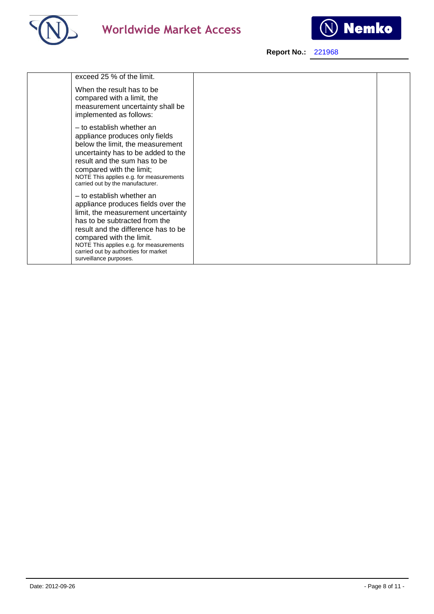





| exceed 25 % of the limit.                          |                                                                                                                                                                                                                                                                   |  |
|----------------------------------------------------|-------------------------------------------------------------------------------------------------------------------------------------------------------------------------------------------------------------------------------------------------------------------|--|
| implemented as follows:                            | When the result has to be<br>compared with a limit, the<br>measurement uncertainty shall be                                                                                                                                                                       |  |
| compared with the limit;                           | - to establish whether an<br>appliance produces only fields<br>below the limit, the measurement<br>uncertainty has to be added to the<br>result and the sum has to be<br>NOTE This applies e.g. for measurements<br>carried out by the manufacturer.              |  |
| compared with the limit.<br>surveillance purposes. | - to establish whether an<br>appliance produces fields over the<br>limit, the measurement uncertainty<br>has to be subtracted from the<br>result and the difference has to be<br>NOTE This applies e.g. for measurements<br>carried out by authorities for market |  |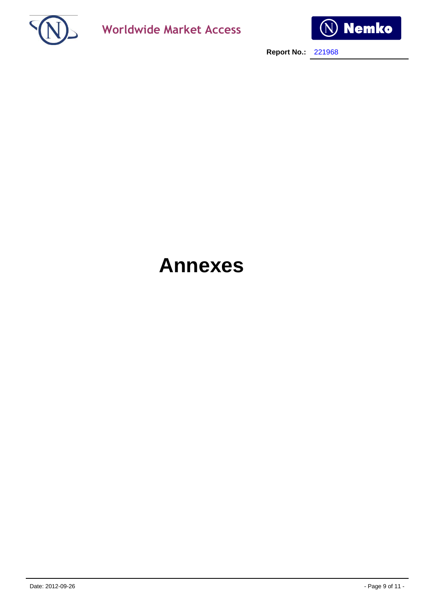



# **Annexes**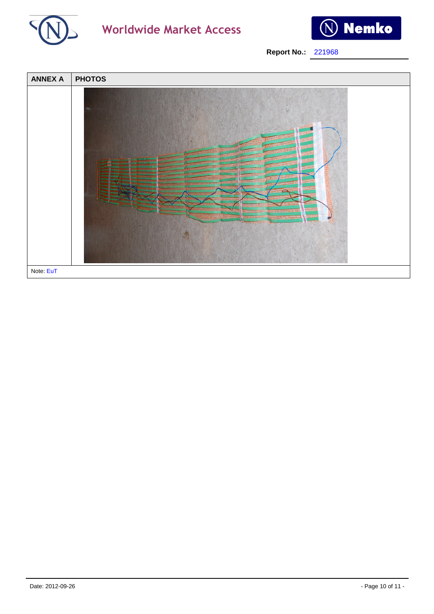